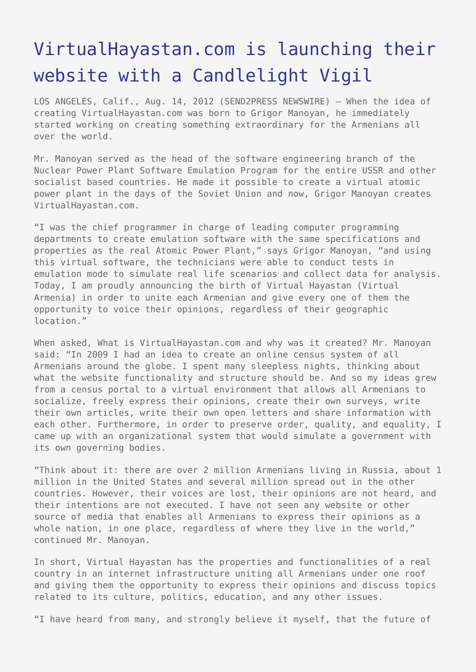## [VirtualHayastan.com is launching their](https://www.send2press.com/wire/virtualhayastan-com-is-launching-their-website-with-a-candlelight-vigil_2012-08-0814-002/) [website with a Candlelight Vigil](https://www.send2press.com/wire/virtualhayastan-com-is-launching-their-website-with-a-candlelight-vigil_2012-08-0814-002/)

LOS ANGELES, Calif., Aug. 14, 2012 (SEND2PRESS NEWSWIRE) — When the idea of creating VirtualHayastan.com was born to Grigor Manoyan, he immediately started working on creating something extraordinary for the Armenians all over the world.

Mr. Manoyan served as the head of the software engineering branch of the Nuclear Power Plant Software Emulation Program for the entire USSR and other socialist based countries. He made it possible to create a virtual atomic power plant in the days of the Soviet Union and now, Grigor Manoyan creates VirtualHayastan.com.

"I was the chief programmer in charge of leading computer programming departments to create emulation software with the same specifications and properties as the real Atomic Power Plant," says Grigor Manoyan, "and using this virtual software, the technicians were able to conduct tests in emulation mode to simulate real life scenarios and collect data for analysis. Today, I am proudly announcing the birth of Virtual Hayastan (Virtual Armenia) in order to unite each Armenian and give every one of them the opportunity to voice their opinions, regardless of their geographic location."

When asked, What is VirtualHayastan.com and why was it created? Mr. Manoyan said: "In 2009 I had an idea to create an online census system of all Armenians around the globe. I spent many sleepless nights, thinking about what the website functionality and structure should be. And so my ideas grew from a census portal to a virtual environment that allows all Armenians to socialize, freely express their opinions, create their own surveys, write their own articles, write their own open letters and share information with each other. Furthermore, in order to preserve order, quality, and equality, I came up with an organizational system that would simulate a government with its own governing bodies.

"Think about it: there are over 2 million Armenians living in Russia, about 1 million in the United States and several million spread out in the other countries. However, their voices are lost, their opinions are not heard, and their intentions are not executed. I have not seen any website or other source of media that enables all Armenians to express their opinions as a whole nation, in one place, regardless of where they live in the world," continued Mr. Manoyan.

In short, Virtual Hayastan has the properties and functionalities of a real country in an internet infrastructure uniting all Armenians under one roof and giving them the opportunity to express their opinions and discuss topics related to its culture, politics, education, and any other issues.

"I have heard from many, and strongly believe it myself, that the future of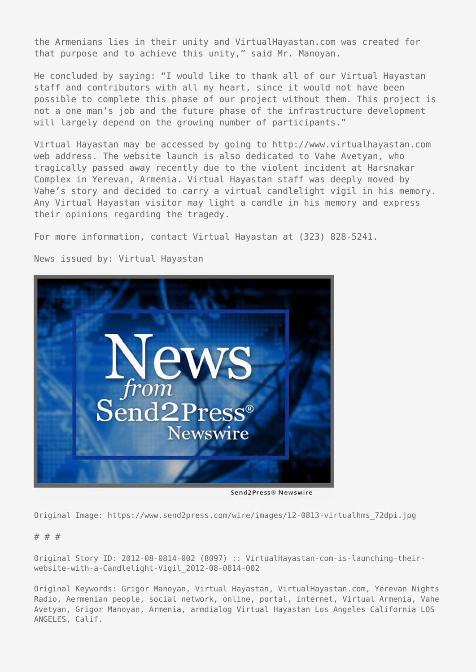the Armenians lies in their unity and VirtualHayastan.com was created for that purpose and to achieve this unity," said Mr. Manoyan.

He concluded by saying: "I would like to thank all of our Virtual Hayastan staff and contributors with all my heart, since it would not have been possible to complete this phase of our project without them. This project is not a one man's job and the future phase of the infrastructure development will largely depend on the growing number of participants."

Virtual Hayastan may be accessed by going to http://www.virtualhayastan.com web address. The website launch is also dedicated to Vahe Avetyan, who tragically passed away recently due to the violent incident at Harsnakar Complex in Yerevan, Armenia. Virtual Hayastan staff was deeply moved by Vahe's story and decided to carry a virtual candlelight vigil in his memory. Any Virtual Hayastan visitor may light a candle in his memory and express their opinions regarding the tragedy.

For more information, contact Virtual Hayastan at (323) 828-5241.

News issued by: Virtual Hayastan



Send2Press® Newswire

Original Image: https://www.send2press.com/wire/images/12-0813-virtualhms\_72dpi.jpg

## # # #

Original Story ID: 2012-08-0814-002 (8097) :: VirtualHayastan-com-is-launching-theirwebsite-with-a-Candlelight-Vigil\_2012-08-0814-002

Original Keywords: Grigor Manoyan, Virtual Hayastan, VirtualHayastan.com, Yerevan Nights Radio, Aermenian people, social network, online, portal, internet, Virtual Armenia, Vahe Avetyan, Grigor Manoyan, Armenia, armdialog Virtual Hayastan Los Angeles California LOS ANGELES, Calif.